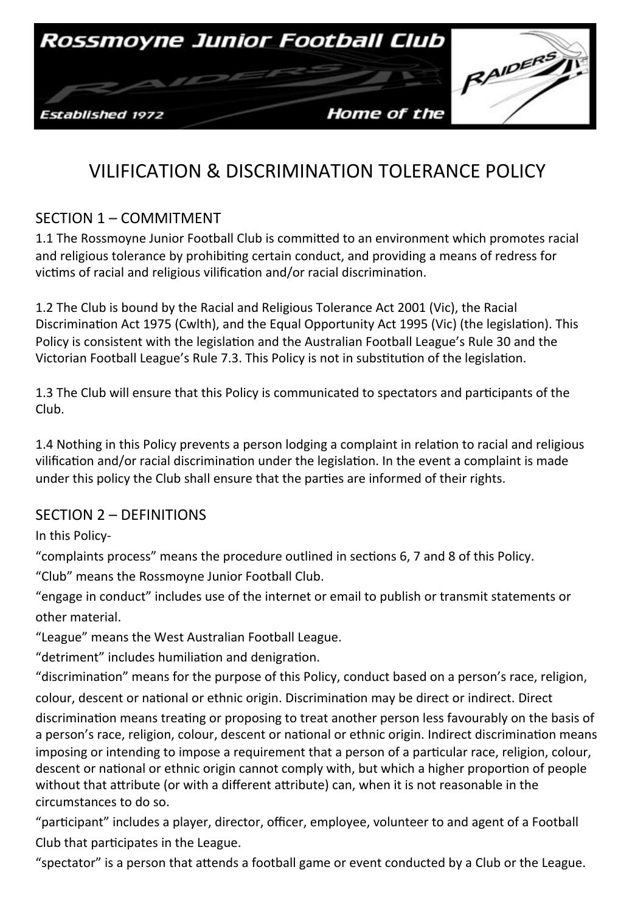

# VILIFICATION & DISCRIMINATION TOLERANCE POLICY

## SECTION 1 - COMMITMENT

1.1 The Rossmoyne Junior Football Club is committed to an environment which promotes racial and religious tolerance by prohibiting certain conduct, and providing a means of redress for victims of racial and religious vilification and/or racial discrimination.

1.2 The Club is bound by the Racial and Religious Tolerance Act 2001 (Vic), the Racial Discrimination Act 1975 (Cwlth), and the Equal Opportunity Act 1995 (Vic) (the legislation). This Policy is consistent with the legislation and the Australian Football League's Rule 30 and the Victorian Football League's Rule 7.3. This Policy is not in substitution of the legislation.

1.3 The Club will ensure that this Policy is communicated to spectators and participants of the Club. 

1.4 Nothing in this Policy prevents a person lodging a complaint in relation to racial and religious vilification and/or racial discrimination under the legislation. In the event a complaint is made under this policy the Club shall ensure that the parties are informed of their rights.

#### SECTION 2 - DEFINITIONS

In this Policy-

"complaints process" means the procedure outlined in sections 6, 7 and 8 of this Policy. "Club" means the Rossmoyne Junior Football Club.

"engage in conduct" includes use of the internet or email to publish or transmit statements or other material.

"League" means the West Australian Football League.

"detriment" includes humiliation and denigration.

"discrimination" means for the purpose of this Policy, conduct based on a person's race, religion,

colour, descent or national or ethnic origin. Discrimination may be direct or indirect. Direct

discrimination means treating or proposing to treat another person less favourably on the basis of a person's race, religion, colour, descent or national or ethnic origin. Indirect discrimination means imposing or intending to impose a requirement that a person of a particular race, religion, colour, descent or national or ethnic origin cannot comply with, but which a higher proportion of people without that attribute (or with a different attribute) can, when it is not reasonable in the circumstances to do so. 

"participant" includes a player, director, officer, employee, volunteer to and agent of a Football Club that participates in the League.

"spectator" is a person that attends a football game or event conducted by a Club or the League.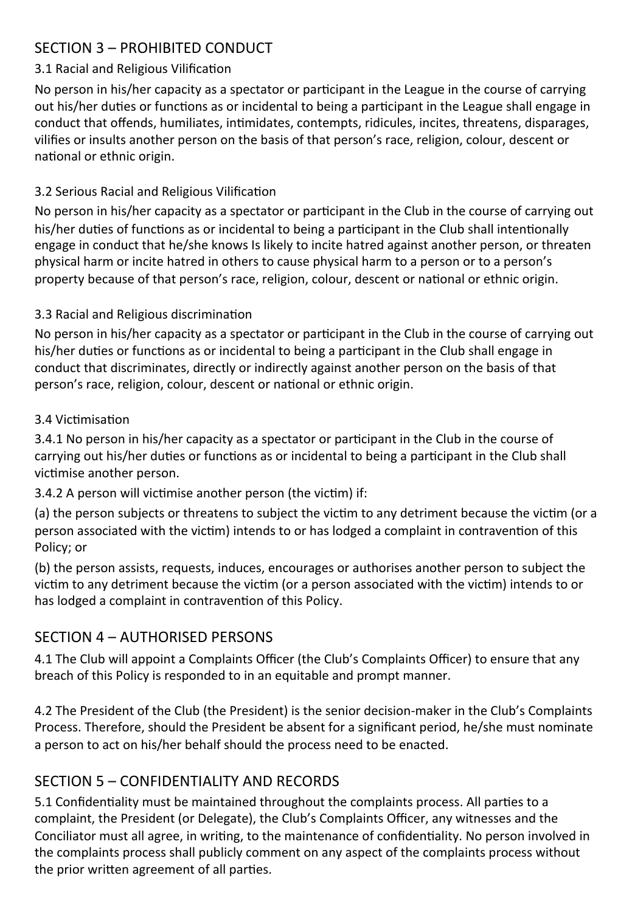# SECTION 3 - PROHIBITED CONDUCT

#### 3.1 Racial and Religious Vilification

No person in his/her capacity as a spectator or participant in the League in the course of carrying out his/her duties or functions as or incidental to being a participant in the League shall engage in conduct that offends, humiliates, intimidates, contempts, ridicules, incites, threatens, disparages, vilifies or insults another person on the basis of that person's race, religion, colour, descent or national or ethnic origin.

#### 3.2 Serious Racial and Religious Vilification

No person in his/her capacity as a spectator or participant in the Club in the course of carrying out his/her duties of functions as or incidental to being a participant in the Club shall intentionally engage in conduct that he/she knows Is likely to incite hatred against another person, or threaten physical harm or incite hatred in others to cause physical harm to a person or to a person's property because of that person's race, religion, colour, descent or national or ethnic origin.

#### 3.3 Racial and Religious discrimination

No person in his/her capacity as a spectator or participant in the Club in the course of carrying out his/her duties or functions as or incidental to being a participant in the Club shall engage in conduct that discriminates, directly or indirectly against another person on the basis of that person's race, religion, colour, descent or national or ethnic origin.

#### 3.4 Victimisation

3.4.1 No person in his/her capacity as a spectator or participant in the Club in the course of carrying out his/her duties or functions as or incidental to being a participant in the Club shall victimise another person.

3.4.2 A person will victimise another person (the victim) if:

(a) the person subjects or threatens to subject the victim to any detriment because the victim (or a person associated with the victim) intends to or has lodged a complaint in contravention of this Policy; or

(b) the person assists, requests, induces, encourages or authorises another person to subject the victim to any detriment because the victim (or a person associated with the victim) intends to or has lodged a complaint in contravention of this Policy.

# SECTION 4 - AUTHORISED PERSONS

4.1 The Club will appoint a Complaints Officer (the Club's Complaints Officer) to ensure that any breach of this Policy is responded to in an equitable and prompt manner.

4.2 The President of the Club (the President) is the senior decision-maker in the Club's Complaints Process. Therefore, should the President be absent for a significant period, he/she must nominate a person to act on his/her behalf should the process need to be enacted.

# SECTION 5 - CONFIDENTIALITY AND RECORDS

5.1 Confidentiality must be maintained throughout the complaints process. All parties to a complaint, the President (or Delegate), the Club's Complaints Officer, any witnesses and the Conciliator must all agree, in writing, to the maintenance of confidentiality. No person involved in the complaints process shall publicly comment on any aspect of the complaints process without the prior written agreement of all parties.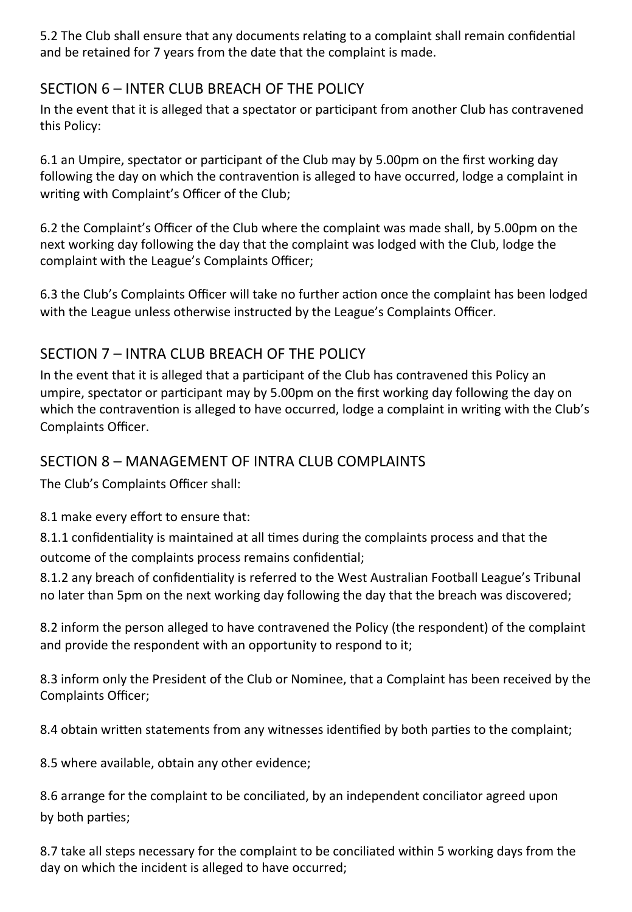5.2 The Club shall ensure that any documents relating to a complaint shall remain confidential and be retained for 7 years from the date that the complaint is made.

# SECTION 6 – INTER CLUB BREACH OF THE POLICY

In the event that it is alleged that a spectator or participant from another Club has contravened this Policy:

6.1 an Umpire, spectator or participant of the Club may by 5.00pm on the first working day following the day on which the contravention is alleged to have occurred, lodge a complaint in writing with Complaint's Officer of the Club;

6.2 the Complaint's Officer of the Club where the complaint was made shall, by 5.00pm on the next working day following the day that the complaint was lodged with the Club, lodge the complaint with the League's Complaints Officer;

6.3 the Club's Complaints Officer will take no further action once the complaint has been lodged with the League unless otherwise instructed by the League's Complaints Officer.

# SECTION 7 – INTRA CLUB BREACH OF THE POLICY

In the event that it is alleged that a participant of the Club has contravened this Policy an umpire, spectator or participant may by 5.00pm on the first working day following the day on which the contravention is alleged to have occurred, lodge a complaint in writing with the Club's Complaints Officer. 

## SECTION 8 – MANAGEMENT OF INTRA CLUB COMPLAINTS

The Club's Complaints Officer shall:

8.1 make every effort to ensure that:

8.1.1 confidentiality is maintained at all times during the complaints process and that the outcome of the complaints process remains confidential;

8.1.2 any breach of confidentiality is referred to the West Australian Football League's Tribunal no later than 5pm on the next working day following the day that the breach was discovered;

8.2 inform the person alleged to have contravened the Policy (the respondent) of the complaint and provide the respondent with an opportunity to respond to it;

8.3 inform only the President of the Club or Nominee, that a Complaint has been received by the Complaints Officer; 

8.4 obtain written statements from any witnesses identified by both parties to the complaint;

8.5 where available, obtain any other evidence;

8.6 arrange for the complaint to be conciliated, by an independent conciliator agreed upon by both parties;

8.7 take all steps necessary for the complaint to be conciliated within 5 working days from the day on which the incident is alleged to have occurred;